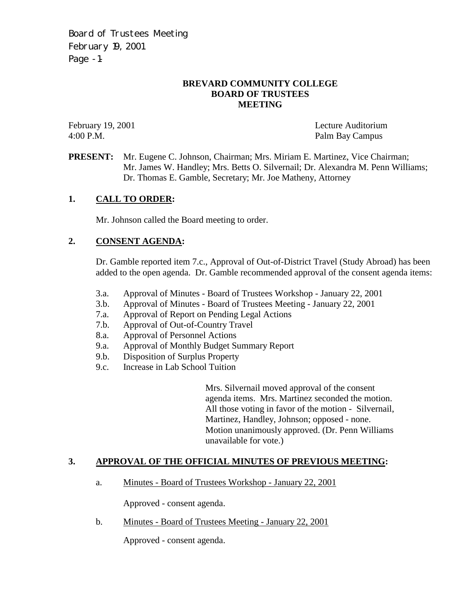Board of Trustees Meeting February 19, 2001 Page -1-

#### **BREVARD COMMUNITY COLLEGE BOARD OF TRUSTEES MEETING**

February 19, 2001 Lecture Auditorium 4:00 P.M. Palm Bay Campus

**PRESENT:** Mr. Eugene C. Johnson, Chairman; Mrs. Miriam E. Martinez, Vice Chairman; Mr. James W. Handley; Mrs. Betts O. Silvernail; Dr. Alexandra M. Penn Williams; Dr. Thomas E. Gamble, Secretary; Mr. Joe Matheny, Attorney

#### **1. CALL TO ORDER:**

Mr. Johnson called the Board meeting to order.

#### **2. CONSENT AGENDA:**

Dr. Gamble reported item 7.c., Approval of Out-of-District Travel (Study Abroad) has been added to the open agenda. Dr. Gamble recommended approval of the consent agenda items:

- 3.a. Approval of Minutes Board of Trustees Workshop January 22, 2001<br>3.b. Approval of Minutes Board of Trustees Meeting January 22, 2001
- 3.b. Approval of Minutes Board of Trustees Meeting January 22, 2001
- 7.a. Approval of Report on Pending Legal Actions
- 7.b. Approval of Out-of-Country Travel
- 8.a. Approval of Personnel Actions
- 9.a. Approval of Monthly Budget Summary Report
- 9.b. Disposition of Surplus Property
- 9.c. Increase in Lab School Tuition

Mrs. Silvernail moved approval of the consent agenda items. Mrs. Martinez seconded the motion. All those voting in favor of the motion - Silvernail, Martinez, Handley, Johnson; opposed - none. Motion unanimously approved. (Dr. Penn Williams unavailable for vote.)

#### **3. APPROVAL OF THE OFFICIAL MINUTES OF PREVIOUS MEETING:**

a. Minutes - Board of Trustees Workshop - January 22, 2001

Approved - consent agenda.

b. Minutes - Board of Trustees Meeting - January 22, 2001

Approved - consent agenda.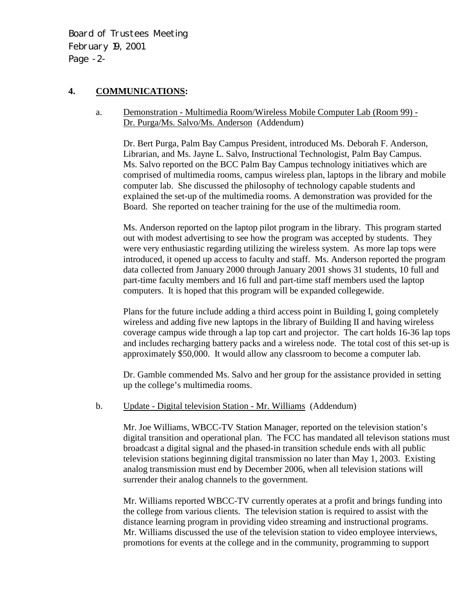Board of Trustees Meeting February 19, 2001 Page -2-

#### **4. COMMUNICATIONS:**

a. Demonstration - Multimedia Room/Wireless Mobile Computer Lab (Room 99) - Dr. Purga/Ms. Salvo/Ms. Anderson (Addendum)

Dr. Bert Purga, Palm Bay Campus President, introduced Ms. Deborah F. Anderson, Librarian, and Ms. Jayne L. Salvo, Instructional Technologist, Palm Bay Campus. Ms. Salvo reported on the BCC Palm Bay Campus technology initiatives which are comprised of multimedia rooms, campus wireless plan, laptops in the library and mobile computer lab. She discussed the philosophy of technology capable students and explained the set-up of the multimedia rooms. A demonstration was provided for the Board. She reported on teacher training for the use of the multimedia room.

Ms. Anderson reported on the laptop pilot program in the library. This program started out with modest advertising to see how the program was accepted by students. They were very enthusiastic regarding utilizing the wireless system. As more lap tops were introduced, it opened up access to faculty and staff. Ms. Anderson reported the program data collected from January 2000 through January 2001 shows 31 students, 10 full and part-time faculty members and 16 full and part-time staff members used the laptop computers. It is hoped that this program will be expanded collegewide.

Plans for the future include adding a third access point in Building I, going completely wireless and adding five new laptops in the library of Building II and having wireless coverage campus wide through a lap top cart and projector. The cart holds 16-36 lap tops and includes recharging battery packs and a wireless node. The total cost of this set-up is approximately \$50,000. It would allow any classroom to become a computer lab.

Dr. Gamble commended Ms. Salvo and her group for the assistance provided in setting up the college's multimedia rooms.

#### b. Update - Digital television Station - Mr. Williams (Addendum)

Mr. Joe Williams, WBCC-TV Station Manager, reported on the television station's digital transition and operational plan. The FCC has mandated all televison stations must broadcast a digital signal and the phased-in transition schedule ends with all public television stations beginning digital transmission no later than May 1, 2003. Existing analog transmission must end by December 2006, when all television stations will surrender their analog channels to the government.

Mr. Williams reported WBCC-TV currently operates at a profit and brings funding into the college from various clients. The television station is required to assist with the distance learning program in providing video streaming and instructional programs. Mr. Williams discussed the use of the television station to video employee interviews, promotions for events at the college and in the community, programming to support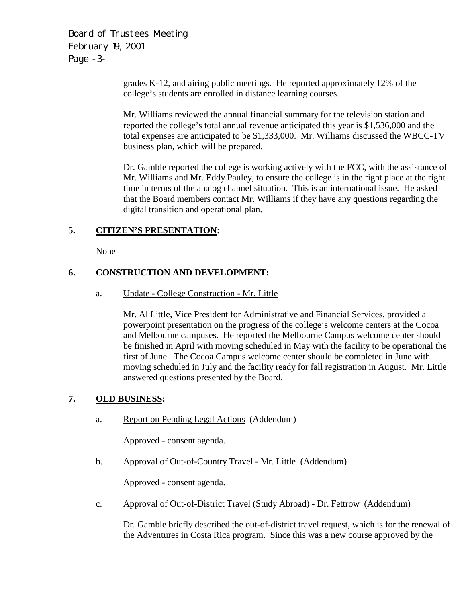Board of Trustees Meeting February 19, 2001 Page -3-

> grades K-12, and airing public meetings. He reported approximately 12% of the college's students are enrolled in distance learning courses.

Mr. Williams reviewed the annual financial summary for the television station and reported the college's total annual revenue anticipated this year is \$1,536,000 and the total expenses are anticipated to be \$1,333,000. Mr. Williams discussed the WBCC-TV business plan, which will be prepared.

Dr. Gamble reported the college is working actively with the FCC, with the assistance of Mr. Williams and Mr. Eddy Pauley, to ensure the college is in the right place at the right time in terms of the analog channel situation. This is an international issue. He asked that the Board members contact Mr. Williams if they have any questions regarding the digital transition and operational plan.

## **5. CITIZEN'S PRESENTATION:**

None

## **6. CONSTRUCTION AND DEVELOPMENT:**

a. Update - College Construction - Mr. Little

Mr. Al Little, Vice President for Administrative and Financial Services, provided a powerpoint presentation on the progress of the college's welcome centers at the Cocoa and Melbourne campuses. He reported the Melbourne Campus welcome center should be finished in April with moving scheduled in May with the facility to be operational the first of June. The Cocoa Campus welcome center should be completed in June with moving scheduled in July and the facility ready for fall registration in August. Mr. Little answered questions presented by the Board.

# **7. OLD BUSINESS:**

a. Report on Pending Legal Actions (Addendum)

Approved - consent agenda.

b. Approval of Out-of-Country Travel - Mr. Little (Addendum)

Approved - consent agenda.

c. Approval of Out-of-District Travel (Study Abroad) - Dr. Fettrow (Addendum)

Dr. Gamble briefly described the out-of-district travel request, which is for the renewal of the Adventures in Costa Rica program. Since this was a new course approved by the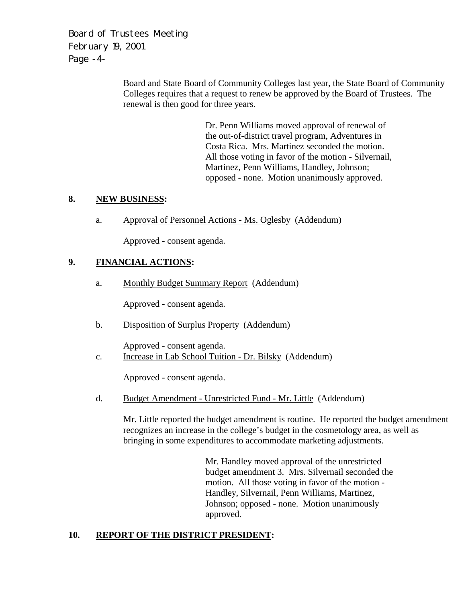Board of Trustees Meeting February 19, 2001 Page -4-

> Board and State Board of Community Colleges last year, the State Board of Community Colleges requires that a request to renew be approved by the Board of Trustees. The renewal is then good for three years.

> > Dr. Penn Williams moved approval of renewal of the out-of-district travel program, Adventures in Costa Rica. Mrs. Martinez seconded the motion. All those voting in favor of the motion - Silvernail, Martinez, Penn Williams, Handley, Johnson; opposed - none. Motion unanimously approved.

# **8. NEW BUSINESS:**

a. Approval of Personnel Actions - Ms. Oglesby (Addendum)

Approved - consent agenda.

# **9. FINANCIAL ACTIONS:**

a. Monthly Budget Summary Report (Addendum)

Approved - consent agenda.

b. Disposition of Surplus Property (Addendum)

Approved - consent agenda.

c. Increase in Lab School Tuition - Dr. Bilsky (Addendum)

Approved - consent agenda.

d. Budget Amendment - Unrestricted Fund - Mr. Little (Addendum)

Mr. Little reported the budget amendment is routine. He reported the budget amendment recognizes an increase in the college's budget in the cosmetology area, as well as bringing in some expenditures to accommodate marketing adjustments.

> Mr. Handley moved approval of the unrestricted budget amendment 3. Mrs. Silvernail seconded the motion. All those voting in favor of the motion - Handley, Silvernail, Penn Williams, Martinez, Johnson; opposed - none. Motion unanimously approved.

## **10. REPORT OF THE DISTRICT PRESIDENT:**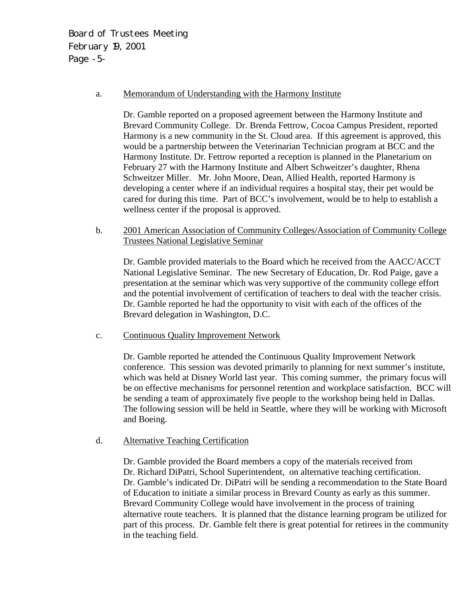Board of Trustees Meeting February 19, 2001 Page -5-

#### a. Memorandum of Understanding with the Harmony Institute

Dr. Gamble reported on a proposed agreement between the Harmony Institute and Brevard Community College. Dr. Brenda Fettrow, Cocoa Campus President, reported Harmony is a new community in the St. Cloud area. If this agreement is approved, this would be a partnership between the Veterinarian Technician program at BCC and the Harmony Institute. Dr. Fettrow reported a reception is planned in the Planetarium on February 27 with the Harmony Institute and Albert Schweitzer's daughter, Rhena Schweitzer Miller. Mr. John Moore, Dean, Allied Health, reported Harmony is developing a center where if an individual requires a hospital stay, their pet would be cared for during this time. Part of BCC's involvement, would be to help to establish a wellness center if the proposal is approved.

 b. 2001 American Association of Community Colleges/Association of Community College Trustees National Legislative Seminar

Dr. Gamble provided materials to the Board which he received from the AACC/ACCT National Legislative Seminar. The new Secretary of Education, Dr. Rod Paige, gave a presentation at the seminar which was very supportive of the community college effort and the potential involvement of certification of teachers to deal with the teacher crisis. Dr. Gamble reported he had the opportunity to visit with each of the offices of the Brevard delegation in Washington, D.C.

c. Continuous Quality Improvement Network

Dr. Gamble reported he attended the Continuous Quality Improvement Network conference. This session was devoted primarily to planning for next summer's institute, which was held at Disney World last year. This coming summer, the primary focus will be on effective mechanisms for personnel retention and workplace satisfaction. BCC will be sending a team of approximately five people to the workshop being held in Dallas. The following session will be held in Seattle, where they will be working with Microsoft and Boeing.

d. Alternative Teaching Certification

Dr. Gamble provided the Board members a copy of the materials received from Dr. Richard DiPatri, School Superintendent, on alternative teaching certification. Dr. Gamble's indicated Dr. DiPatri will be sending a recommendation to the State Board of Education to initiate a similar process in Brevard County as early as this summer. Brevard Community College would have involvement in the process of training alternative route teachers. It is planned that the distance learning program be utilized for part of this process. Dr. Gamble felt there is great potential for retirees in the community in the teaching field.